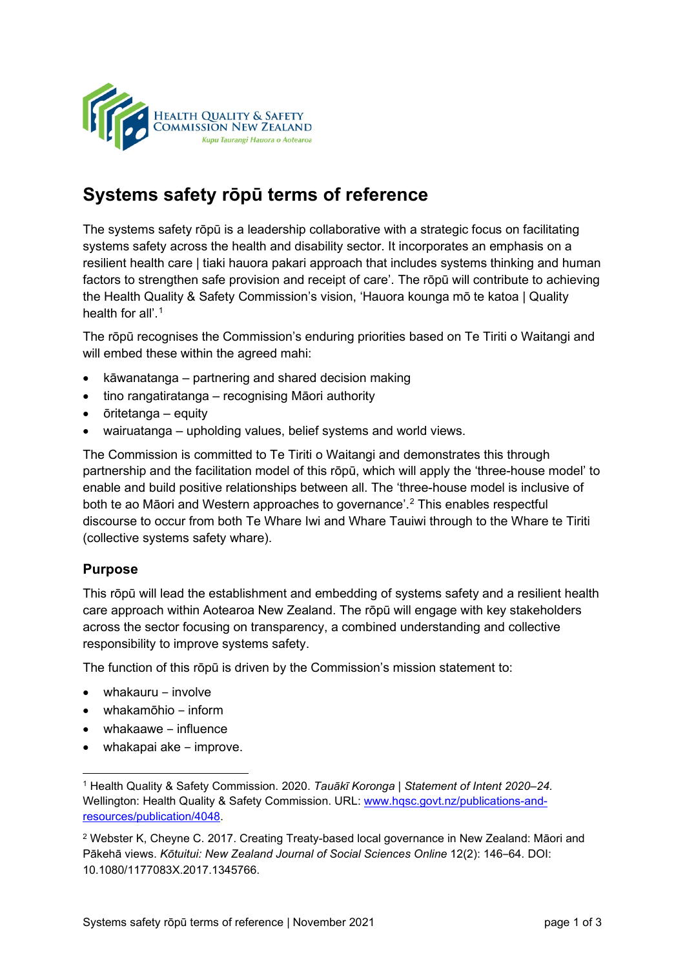

# **Systems safety rōpū terms of reference**

The systems safety rōpū is a leadership collaborative with a strategic focus on facilitating systems safety across the health and disability sector. It incorporates an emphasis on a resilient health care | tiaki hauora pakari approach that includes systems thinking and human factors to strengthen safe provision and receipt of care'. The rōpū will contribute to achieving the Health Quality & Safety Commission's vision, 'Hauora kounga mō te katoa | Quality health for all'.<sup>[1](#page-0-0)</sup>

The rōpū recognises the Commission's enduring priorities based on Te Tiriti o Waitangi and will embed these within the agreed mahi:

- kāwanatanga partnering and shared decision making
- tino rangatiratanga recognising Māori authority
- ōritetanga equity
- wairuatanga upholding values, belief systems and world views.

The Commission is committed to Te Tiriti o Waitangi and demonstrates this through partnership and the facilitation model of this rōpū, which will apply the 'three-house model' to enable and build positive relationships between all. The 'three-house model is inclusive of both te ao Māori and Western approaches to governance'.[2](#page-0-1) This enables respectful discourse to occur from both Te Whare Iwi and Whare Tauiwi through to the Whare te Tiriti (collective systems safety whare).

### **Purpose**

This rōpū will lead the establishment and embedding of systems safety and a resilient health care approach within Aotearoa New Zealand. The rōpū will engage with key stakeholders across the sector focusing on transparency, a combined understanding and collective responsibility to improve systems safety.

The function of this rōpū is driven by the Commission's mission statement to:

- whakauru ‒ involve
- whakamōhio ‒ inform
- whakaawe influence
- whakapai ake improve.

<span id="page-0-0"></span><sup>1</sup> Health Quality & Safety Commission. 2020. *Tauākī Koronga | Statement of Intent 2020–24.*  Wellington: Health Quality & Safety Commission. URL: [www.hqsc.govt.nz/publications](http://www.hqsc.govt.nz/publications-and-resources/publication/4048)-and[resources/publication/4048.](http://www.hqsc.govt.nz/publications-and-resources/publication/4048)

<span id="page-0-1"></span><sup>2</sup> Webster K, Cheyne C. 2017. Creating Treaty-based local governance in New Zealand: Māori and Pākehā views. Kōtuitui: New Zealand Journal of Social Sciences Online 12(2): 146-64. DOI: 10.1080/1177083X.2017.1345766.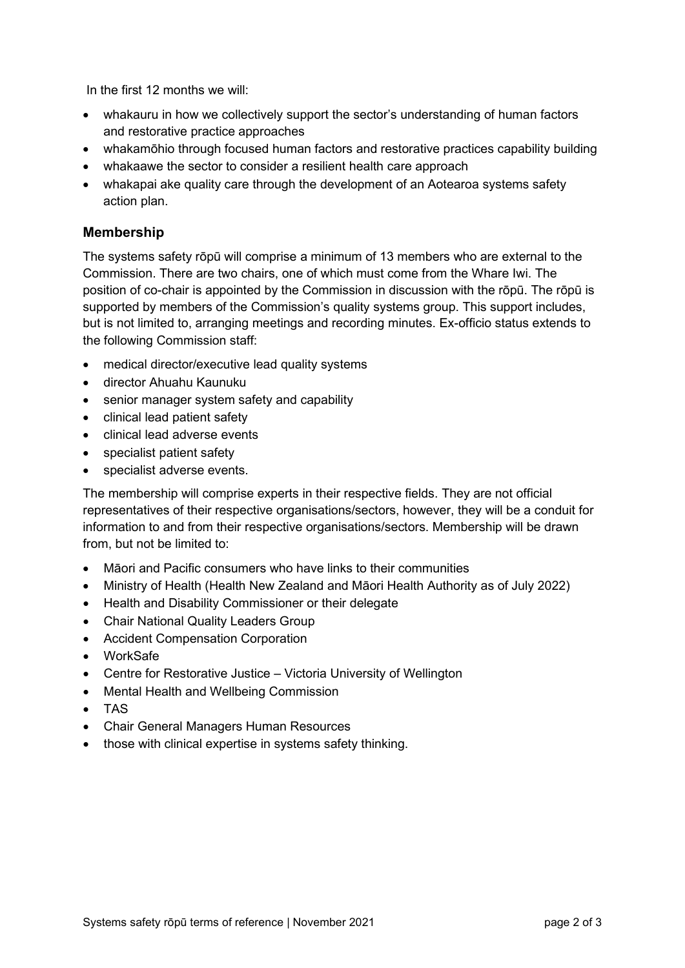In the first 12 months we will:

- whakauru in how we collectively support the sector's understanding of human factors and restorative practice approaches
- whakamōhio through focused human factors and restorative practices capability building
- whakaawe the sector to consider a resilient health care approach
- whakapai ake quality care through the development of an Aotearoa systems safety action plan.

#### **Membership**

The systems safety rōpū will comprise a minimum of 13 members who are external to the Commission. There are two chairs, one of which must come from the Whare Iwi. The position of co-chair is appointed by the Commission in discussion with the rōpū. The rōpū is supported by members of the Commission's quality systems group. This support includes, but is not limited to, arranging meetings and recording minutes. Ex-officio status extends to the following Commission staff:

- medical director/executive lead quality systems
- director Ahuahu Kaunuku
- senior manager system safety and capability
- clinical lead patient safety
- clinical lead adverse events
- specialist patient safety
- specialist adverse events.

The membership will comprise experts in their respective fields. They are not official representatives of their respective organisations/sectors, however, they will be a conduit for information to and from their respective organisations/sectors. Membership will be drawn from, but not be limited to:

- Māori and Pacific consumers who have links to their communities
- Ministry of Health (Health New Zealand and Māori Health Authority as of July 2022)
- Health and Disability Commissioner or their delegate
- Chair National Quality Leaders Group
- Accident Compensation Corporation
- WorkSafe
- Centre for Restorative Justice Victoria University of Wellington
- Mental Health and Wellbeing Commission
- TAS
- Chair General Managers Human Resources
- those with clinical expertise in systems safety thinking.